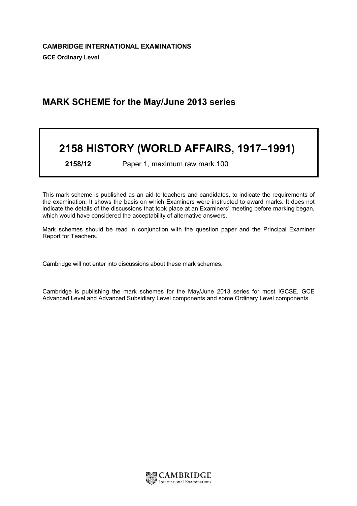# MARK SCHEME for the May/June 2013 series

# 2158 HISTORY (WORLD AFFAIRS, 1917–1991)

2158/12 Paper 1, maximum raw mark 100

This mark scheme is published as an aid to teachers and candidates, to indicate the requirements of the examination. It shows the basis on which Examiners were instructed to award marks. It does not indicate the details of the discussions that took place at an Examiners' meeting before marking began, which would have considered the acceptability of alternative answers.

Mark schemes should be read in conjunction with the question paper and the Principal Examiner Report for Teachers.

Cambridge will not enter into discussions about these mark schemes.

Cambridge is publishing the mark schemes for the May/June 2013 series for most IGCSE, GCE Advanced Level and Advanced Subsidiary Level components and some Ordinary Level components.

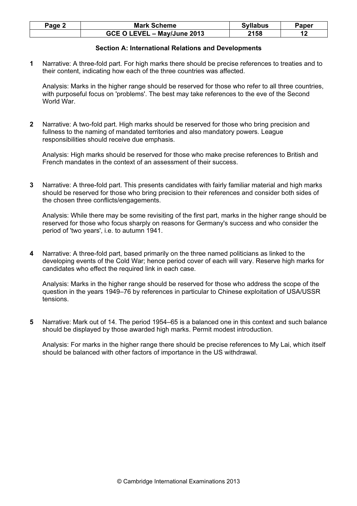| Page $\angle$ | <b>Mark Scheme</b>          | <b>Syllabus</b> | Paper |
|---------------|-----------------------------|-----------------|-------|
|               | GCE O LEVEL - May/June 2013 | 2158            |       |

# Section A: International Relations and Developments

1 Narrative: A three-fold part. For high marks there should be precise references to treaties and to their content, indicating how each of the three countries was affected.

Analysis: Marks in the higher range should be reserved for those who refer to all three countries, with purposeful focus on 'problems'. The best may take references to the eve of the Second World War.

2 Narrative: A two-fold part. High marks should be reserved for those who bring precision and fullness to the naming of mandated territories and also mandatory powers. League responsibilities should receive due emphasis.

Analysis: High marks should be reserved for those who make precise references to British and French mandates in the context of an assessment of their success.

3 Narrative: A three-fold part. This presents candidates with fairly familiar material and high marks should be reserved for those who bring precision to their references and consider both sides of the chosen three conflicts/engagements.

Analysis: While there may be some revisiting of the first part, marks in the higher range should be reserved for those who focus sharply on reasons for Germany's success and who consider the period of 'two years', i.e. to autumn 1941.

4 Narrative: A three-fold part, based primarily on the three named politicians as linked to the developing events of the Cold War; hence period cover of each will vary. Reserve high marks for candidates who effect the required link in each case.

Analysis: Marks in the higher range should be reserved for those who address the scope of the question in the years 1949–76 by references in particular to Chinese exploitation of USA/USSR tensions.

5 Narrative: Mark out of 14. The period 1954–65 is a balanced one in this context and such balance should be displayed by those awarded high marks. Permit modest introduction.

Analysis: For marks in the higher range there should be precise references to My Lai, which itself should be balanced with other factors of importance in the US withdrawal.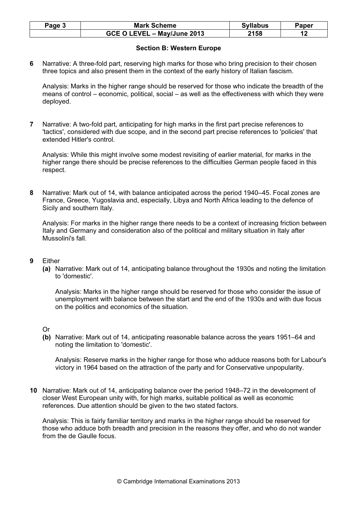| Page 3 | <b>Mark Scheme</b>          | <b>Syllabus</b> | Paper |
|--------|-----------------------------|-----------------|-------|
|        | GCE O LEVEL - May/June 2013 | 2158            |       |

# Section B: Western Europe

6 Narrative: A three-fold part, reserving high marks for those who bring precision to their chosen three topics and also present them in the context of the early history of Italian fascism.

Analysis: Marks in the higher range should be reserved for those who indicate the breadth of the means of control – economic, political, social – as well as the effectiveness with which they were deployed.

7 Narrative: A two-fold part, anticipating for high marks in the first part precise references to 'tactics', considered with due scope, and in the second part precise references to 'policies' that extended Hitler's control.

Analysis: While this might involve some modest revisiting of earlier material, for marks in the higher range there should be precise references to the difficulties German people faced in this respect.

8 Narrative: Mark out of 14, with balance anticipated across the period 1940–45. Focal zones are France, Greece, Yugoslavia and, especially, Libya and North Africa leading to the defence of Sicily and southern Italy.

Analysis: For marks in the higher range there needs to be a context of increasing friction between Italy and Germany and consideration also of the political and military situation in Italy after Mussolini's fall.

#### 9 Either

(a) Narrative: Mark out of 14, anticipating balance throughout the 1930s and noting the limitation to 'domestic'.

Analysis: Marks in the higher range should be reserved for those who consider the issue of unemployment with balance between the start and the end of the 1930s and with due focus on the politics and economics of the situation.

#### Or

(b) Narrative: Mark out of 14, anticipating reasonable balance across the years 1951–64 and noting the limitation to 'domestic'.

Analysis: Reserve marks in the higher range for those who adduce reasons both for Labour's victory in 1964 based on the attraction of the party and for Conservative unpopularity.

10 Narrative: Mark out of 14, anticipating balance over the period 1948–72 in the development of closer West European unity with, for high marks, suitable political as well as economic references. Due attention should be given to the two stated factors.

Analysis: This is fairly familiar territory and marks in the higher range should be reserved for those who adduce both breadth and precision in the reasons they offer, and who do not wander from the de Gaulle focus.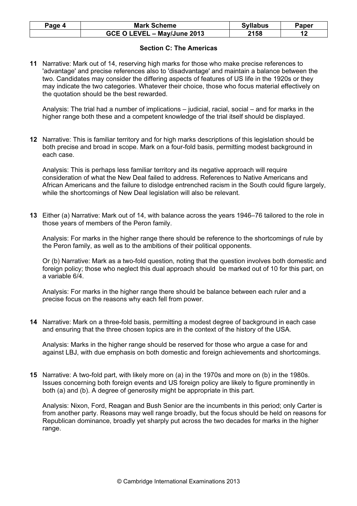| Paqe 4 | <b>Mark Scheme</b>          | <b>Syllabus</b> | Paper |
|--------|-----------------------------|-----------------|-------|
|        | GCE O LEVEL - May/June 2013 | 2158            |       |

# Section C: The Americas

11 Narrative: Mark out of 14, reserving high marks for those who make precise references to 'advantage' and precise references also to 'disadvantage' and maintain a balance between the two. Candidates may consider the differing aspects of features of US life in the 1920s or they may indicate the two categories. Whatever their choice, those who focus material effectively on the quotation should be the best rewarded.

Analysis: The trial had a number of implications – judicial, racial, social – and for marks in the higher range both these and a competent knowledge of the trial itself should be displayed.

12 Narrative: This is familiar territory and for high marks descriptions of this legislation should be both precise and broad in scope. Mark on a four-fold basis, permitting modest background in each case.

Analysis: This is perhaps less familiar territory and its negative approach will require consideration of what the New Deal failed to address. References to Native Americans and African Americans and the failure to dislodge entrenched racism in the South could figure largely, while the shortcomings of New Deal legislation will also be relevant.

13 Either (a) Narrative: Mark out of 14, with balance across the years 1946–76 tailored to the role in those years of members of the Peron family.

Analysis: For marks in the higher range there should be reference to the shortcomings of rule by the Peron family, as well as to the ambitions of their political opponents.

Or (b) Narrative: Mark as a two-fold question, noting that the question involves both domestic and foreign policy; those who neglect this dual approach should be marked out of 10 for this part, on a variable 6/4.

Analysis: For marks in the higher range there should be balance between each ruler and a precise focus on the reasons why each fell from power.

14 Narrative: Mark on a three-fold basis, permitting a modest degree of background in each case and ensuring that the three chosen topics are in the context of the history of the USA.

Analysis: Marks in the higher range should be reserved for those who argue a case for and against LBJ, with due emphasis on both domestic and foreign achievements and shortcomings.

15 Narrative: A two-fold part, with likely more on (a) in the 1970s and more on (b) in the 1980s. Issues concerning both foreign events and US foreign policy are likely to figure prominently in both (a) and (b). A degree of generosity might be appropriate in this part.

Analysis: Nixon, Ford, Reagan and Bush Senior are the incumbents in this period; only Carter is from another party. Reasons may well range broadly, but the focus should be held on reasons for Republican dominance, broadly yet sharply put across the two decades for marks in the higher range.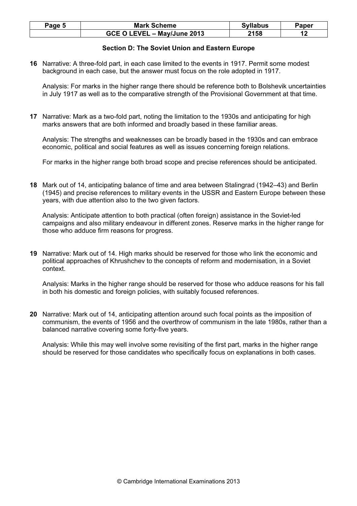| Page 5 | <b>Mark Scheme</b>          | <b>Syllabus</b> | Paper |
|--------|-----------------------------|-----------------|-------|
|        | GCE O LEVEL - May/June 2013 | 2158            |       |

# Section D: The Soviet Union and Eastern Europe

16 Narrative: A three-fold part, in each case limited to the events in 1917. Permit some modest background in each case, but the answer must focus on the role adopted in 1917.

Analysis: For marks in the higher range there should be reference both to Bolshevik uncertainties in July 1917 as well as to the comparative strength of the Provisional Government at that time.

17 Narrative: Mark as a two-fold part, noting the limitation to the 1930s and anticipating for high marks answers that are both informed and broadly based in these familiar areas.

Analysis: The strengths and weaknesses can be broadly based in the 1930s and can embrace economic, political and social features as well as issues concerning foreign relations.

For marks in the higher range both broad scope and precise references should be anticipated.

18 Mark out of 14, anticipating balance of time and area between Stalingrad (1942–43) and Berlin (1945) and precise references to military events in the USSR and Eastern Europe between these years, with due attention also to the two given factors.

Analysis: Anticipate attention to both practical (often foreign) assistance in the Soviet-led campaigns and also military endeavour in different zones. Reserve marks in the higher range for those who adduce firm reasons for progress.

19 Narrative: Mark out of 14. High marks should be reserved for those who link the economic and political approaches of Khrushchev to the concepts of reform and modernisation, in a Soviet context.

Analysis: Marks in the higher range should be reserved for those who adduce reasons for his fall in both his domestic and foreign policies, with suitably focused references.

20 Narrative: Mark out of 14, anticipating attention around such focal points as the imposition of communism, the events of 1956 and the overthrow of communism in the late 1980s, rather than a balanced narrative covering some forty-five years.

Analysis: While this may well involve some revisiting of the first part, marks in the higher range should be reserved for those candidates who specifically focus on explanations in both cases.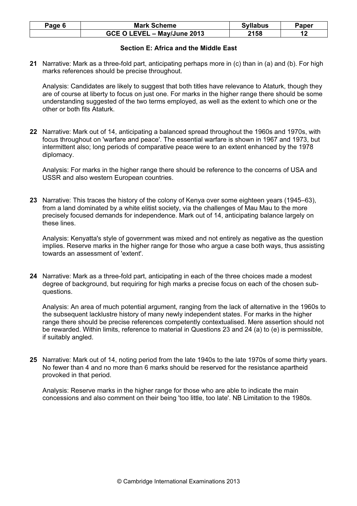| Page $6$ | <b>Mark Scheme</b>          | <b>Syllabus</b> | Paper |
|----------|-----------------------------|-----------------|-------|
|          | GCE O LEVEL - May/June 2013 | 2158            |       |

# Section E: Africa and the Middle East

21 Narrative: Mark as a three-fold part, anticipating perhaps more in (c) than in (a) and (b). For high marks references should be precise throughout.

Analysis: Candidates are likely to suggest that both titles have relevance to Ataturk, though they are of course at liberty to focus on just one. For marks in the higher range there should be some understanding suggested of the two terms employed, as well as the extent to which one or the other or both fits Ataturk.

22 Narrative: Mark out of 14, anticipating a balanced spread throughout the 1960s and 1970s, with focus throughout on 'warfare and peace'. The essential warfare is shown in 1967 and 1973, but intermittent also; long periods of comparative peace were to an extent enhanced by the 1978 diplomacy.

Analysis: For marks in the higher range there should be reference to the concerns of USA and USSR and also western European countries.

23 Narrative: This traces the history of the colony of Kenya over some eighteen years (1945–63), from a land dominated by a white elitist society, via the challenges of Mau Mau to the more precisely focused demands for independence. Mark out of 14, anticipating balance largely on these lines.

Analysis: Kenyatta's style of government was mixed and not entirely as negative as the question implies. Reserve marks in the higher range for those who argue a case both ways, thus assisting towards an assessment of 'extent'.

24 Narrative: Mark as a three-fold part, anticipating in each of the three choices made a modest degree of background, but requiring for high marks a precise focus on each of the chosen subquestions.

Analysis: An area of much potential argument, ranging from the lack of alternative in the 1960s to the subsequent lacklustre history of many newly independent states. For marks in the higher range there should be precise references competently contextualised. Mere assertion should not be rewarded. Within limits, reference to material in Questions 23 and 24 (a) to (e) is permissible, if suitably angled.

25 Narrative: Mark out of 14, noting period from the late 1940s to the late 1970s of some thirty years. No fewer than 4 and no more than 6 marks should be reserved for the resistance apartheid provoked in that period.

Analysis: Reserve marks in the higher range for those who are able to indicate the main concessions and also comment on their being 'too little, too late'. NB Limitation to the 1980s.